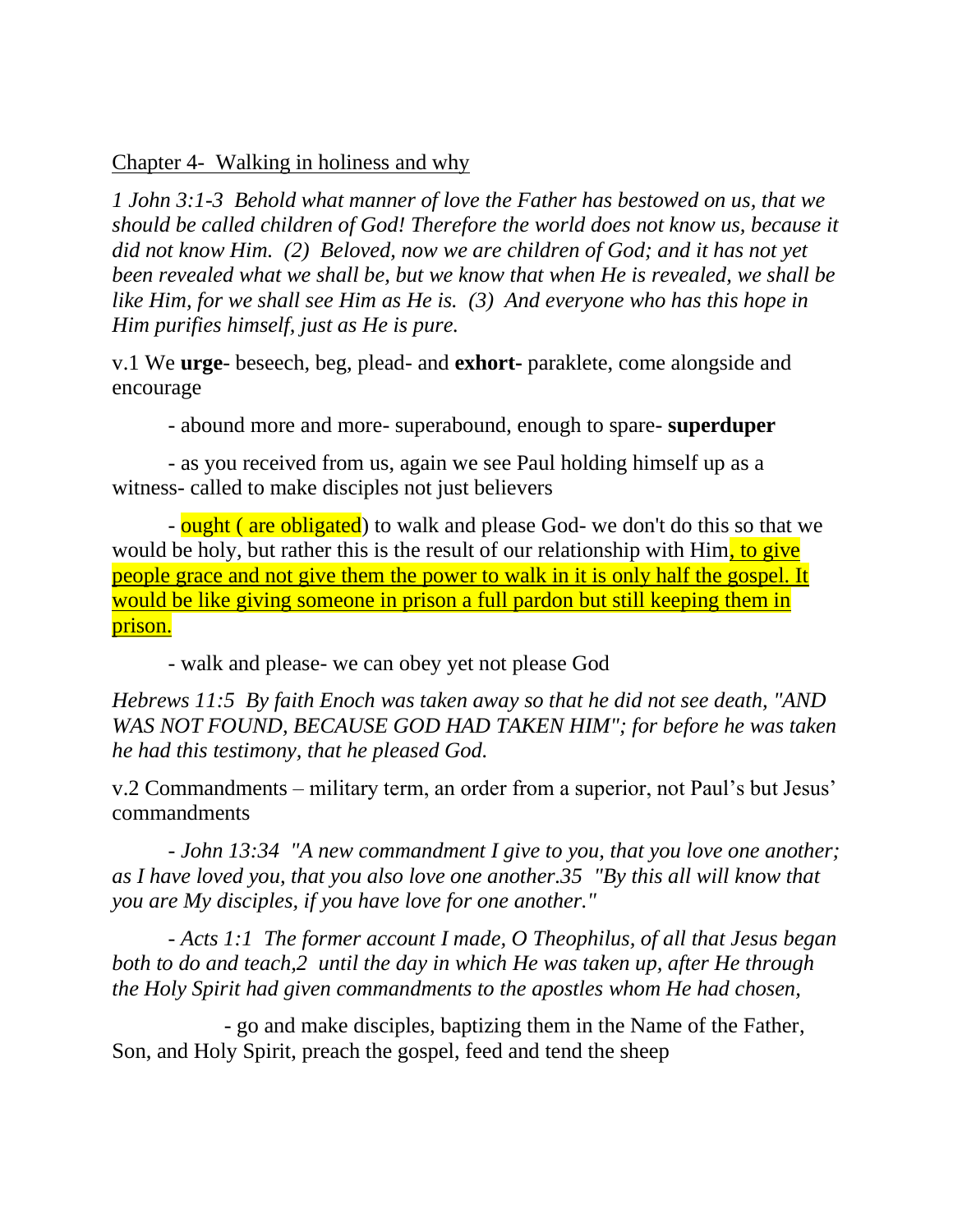Chapter 4- Walking in holiness and why

*1 John 3:1-3 Behold what manner of love the Father has bestowed on us, that we should be called children of God! Therefore the world does not know us, because it did not know Him. (2) Beloved, now we are children of God; and it has not yet been revealed what we shall be, but we know that when He is revealed, we shall be like Him, for we shall see Him as He is. (3) And everyone who has this hope in Him purifies himself, just as He is pure.*

v.1 We **urge**- beseech, beg, plead- and **exhort-** paraklete, come alongside and encourage

- abound more and more- superabound, enough to spare- **superduper**

- as you received from us, again we see Paul holding himself up as a witness- called to make disciples not just believers

- ought (are obligated) to walk and please God- we don't do this so that we would be holy, but rather this is the result of our relationship with Him, to give people grace and not give them the power to walk in it is only half the gospel. It would be like giving someone in prison a full pardon but still keeping them in prison.

- walk and please- we can obey yet not please God

*Hebrews 11:5 By faith Enoch was taken away so that he did not see death, "AND*  WAS NOT FOUND, BECAUSE GOD HAD TAKEN HIM"; for before he was taken *he had this testimony, that he pleased God.*

v.2 Commandments – military term, an order from a superior, not Paul's but Jesus' commandments

*- John 13:34 "A new commandment I give to you, that you love one another; as I have loved you, that you also love one another.35 "By this all will know that you are My disciples, if you have love for one another."*

*- Acts 1:1 The former account I made, O Theophilus, of all that Jesus began both to do and teach,2 until the day in which He was taken up, after He through the Holy Spirit had given commandments to the apostles whom He had chosen,*

- go and make disciples, baptizing them in the Name of the Father, Son, and Holy Spirit, preach the gospel, feed and tend the sheep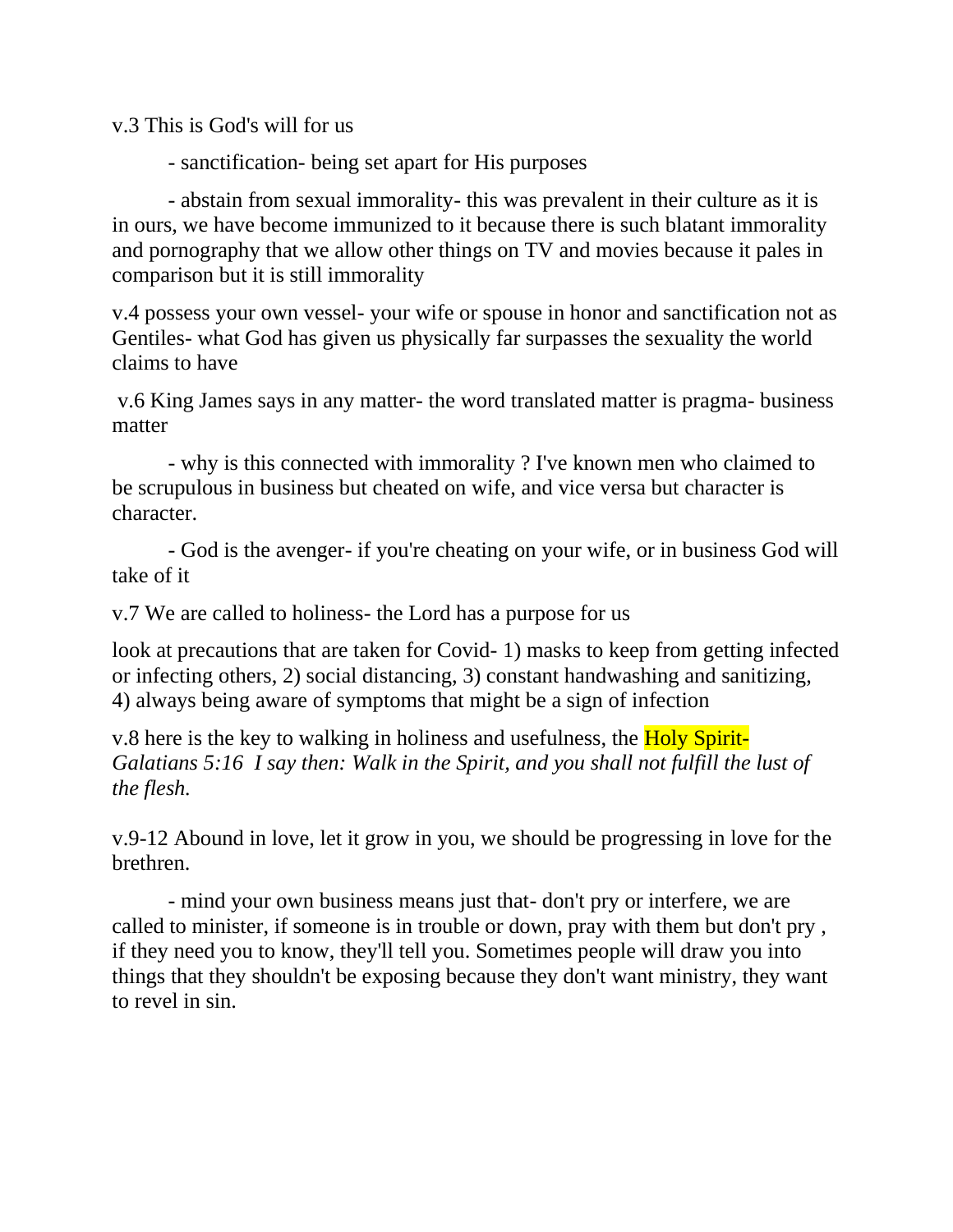v.3 This is God's will for us

- sanctification- being set apart for His purposes

- abstain from sexual immorality- this was prevalent in their culture as it is in ours, we have become immunized to it because there is such blatant immorality and pornography that we allow other things on TV and movies because it pales in comparison but it is still immorality

v.4 possess your own vessel- your wife or spouse in honor and sanctification not as Gentiles- what God has given us physically far surpasses the sexuality the world claims to have

v.6 King James says in any matter- the word translated matter is pragma- business matter

- why is this connected with immorality ? I've known men who claimed to be scrupulous in business but cheated on wife, and vice versa but character is character.

- God is the avenger- if you're cheating on your wife, or in business God will take of it

v.7 We are called to holiness- the Lord has a purpose for us

look at precautions that are taken for Covid- 1) masks to keep from getting infected or infecting others, 2) social distancing, 3) constant handwashing and sanitizing, 4) always being aware of symptoms that might be a sign of infection

v.8 here is the key to walking in holiness and usefulness, the **Holy Spirit-***Galatians 5:16 I say then: Walk in the Spirit, and you shall not fulfill the lust of the flesh.*

v.9-12 Abound in love, let it grow in you, we should be progressing in love for the brethren.

- mind your own business means just that- don't pry or interfere, we are called to minister, if someone is in trouble or down, pray with them but don't pry , if they need you to know, they'll tell you. Sometimes people will draw you into things that they shouldn't be exposing because they don't want ministry, they want to revel in sin.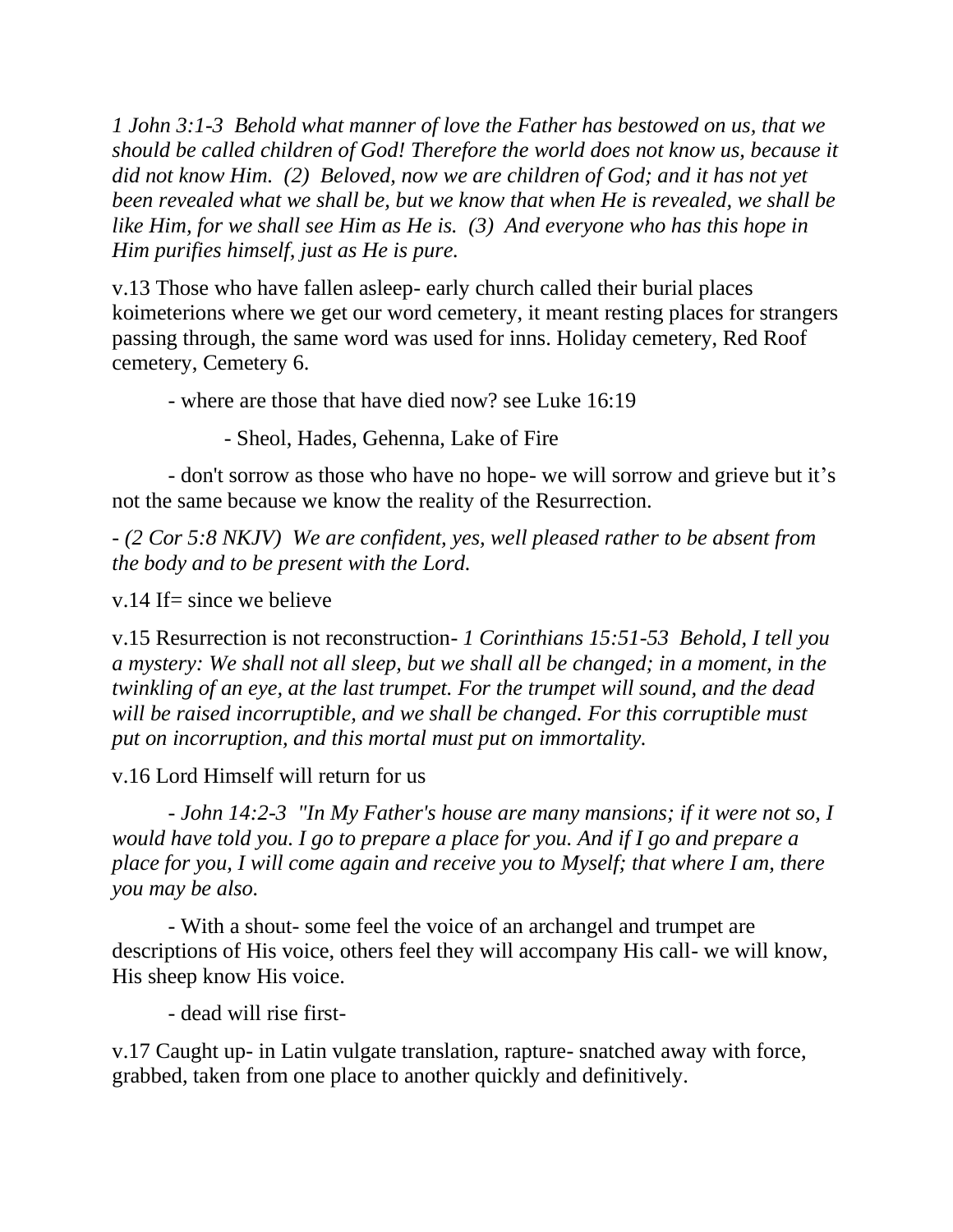*1 John 3:1-3 Behold what manner of love the Father has bestowed on us, that we should be called children of God! Therefore the world does not know us, because it did not know Him. (2) Beloved, now we are children of God; and it has not yet been revealed what we shall be, but we know that when He is revealed, we shall be like Him, for we shall see Him as He is. (3) And everyone who has this hope in Him purifies himself, just as He is pure.*

v.13 Those who have fallen asleep- early church called their burial places koimeterions where we get our word cemetery, it meant resting places for strangers passing through, the same word was used for inns. Holiday cemetery, Red Roof cemetery, Cemetery 6.

- where are those that have died now? see Luke 16:19

- Sheol, Hades, Gehenna, Lake of Fire

- don't sorrow as those who have no hope- we will sorrow and grieve but it's not the same because we know the reality of the Resurrection.

*- (2 Cor 5:8 NKJV) We are confident, yes, well pleased rather to be absent from the body and to be present with the Lord.*

v.14 If  $=$  since we believe

v.15 Resurrection is not reconstruction- *1 Corinthians 15:51-53 Behold, I tell you a mystery: We shall not all sleep, but we shall all be changed; in a moment, in the twinkling of an eye, at the last trumpet. For the trumpet will sound, and the dead will be raised incorruptible, and we shall be changed. For this corruptible must put on incorruption, and this mortal must put on immortality.*

v.16 Lord Himself will return for us

- *John 14:2-3 "In My Father's house are many mansions; if it were not so, I would have told you. I go to prepare a place for you. And if I go and prepare a place for you, I will come again and receive you to Myself; that where I am, there you may be also.*

- With a shout- some feel the voice of an archangel and trumpet are descriptions of His voice, others feel they will accompany His call- we will know, His sheep know His voice.

- dead will rise first-

v.17 Caught up- in Latin vulgate translation, rapture- snatched away with force, grabbed, taken from one place to another quickly and definitively.